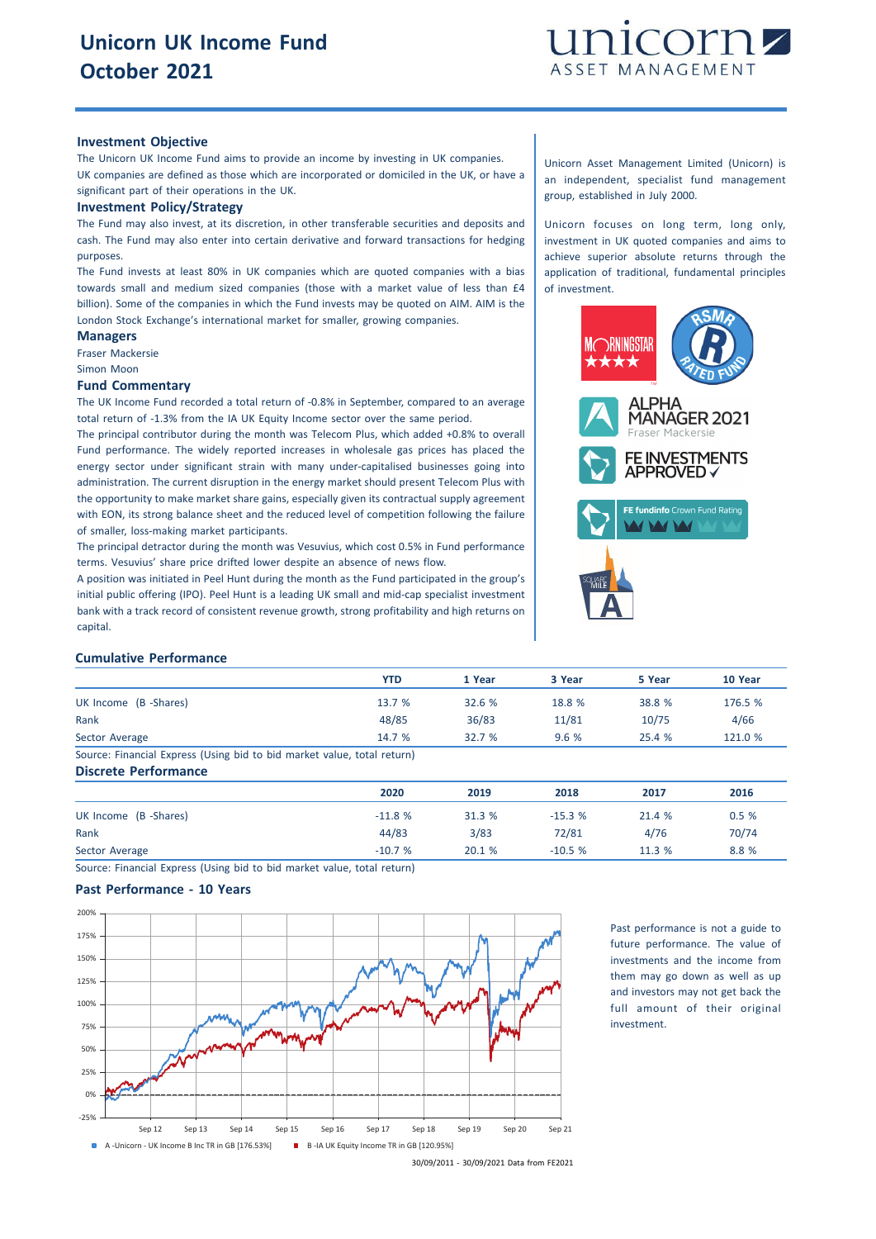

#### **Investment Objective**

The Unicorn UK Income Fund aims to provide an income by investing in UK companies. UK companies are defined as those which are incorporated or domiciled in the UK, or have a significant part of their operations in the UK.

#### **Investment Policy/Strategy**

The Fund may also invest, at its discretion, in other transferable securities and deposits and cash. The Fund may also enter into certain derivative and forward transactions for hedging purposes.

The Fund invests at least 80% in UK companies which are quoted companies with a bias towards small and medium sized companies (those with a market value of less than £4 billion). Some of the companies in which the Fund invests may be quoted on AIM. AIM is the London Stock Exchange's international market for smaller, growing companies.

## **Managers**

Fraser Mackersie Simon Moon

## **Fund Commentary**

The UK Income Fund recorded a total return of -0.8% in September, compared to an average total return of -1.3% from the IA UK Equity Income sector over the same period.

The principal contributor during the month was Telecom Plus, which added +0.8% to overall Fund performance. The widely reported increases in wholesale gas prices has placed the energy sector under significant strain with many under-capitalised businesses going into administration. The current disruption in the energy market should present Telecom Plus with the opportunity to make market share gains, especially given its contractual supply agreement with EON, its strong balance sheet and the reduced level of competition following the failure of smaller, loss-making market participants.

The principal detractor during the month was Vesuvius, which cost 0.5% in Fund performance terms. Vesuvius' share price drifted lower despite an absence of news flow.

A position was initiated in Peel Hunt during the month as the Fund participated in the group's initial public offering (IPO). Peel Hunt is a leading UK small and mid-cap specialist investment bank with a track record of consistent revenue growth, strong profitability and high returns on capital.

Unicorn Asset Management Limited (Unicorn) is an independent, specialist fund management group, established in July 2000.

Unicorn focuses on long term, long only, investment in UK quoted companies and aims to achieve superior absolute returns through the application of traditional, fundamental principles of investment.



### **Cumulative Performance**

|                                                                         | <b>YTD</b> | 1 Year | 3 Year | 5 Year | 10 Year |
|-------------------------------------------------------------------------|------------|--------|--------|--------|---------|
| UK Income (B -Shares)                                                   | 13.7 %     | 32.6 % | 18.8 % | 38.8 % | 176.5 % |
| Rank                                                                    | 48/85      | 36/83  | 11/81  | 10/75  | 4/66    |
| Sector Average                                                          | 14.7 %     | 32.7%  | 9.6%   | 25.4 % | 121.0 % |
| Source: Financial Express (Using bid to bid market value, total return) |            |        |        |        |         |

**Discrete Performance**

|                       | 2020     | 2019   | 2018     | 2017   | 2016  |
|-----------------------|----------|--------|----------|--------|-------|
| UK Income (B -Shares) | $-11.8%$ | 31.3 % | $-15.3%$ | 21.4 % | 0.5%  |
| Rank                  | 44/83    | 3/83   | 72/81    | 4/76   | 70/74 |
| Sector Average        | $-10.7%$ | 20.1 % | $-10.5%$ | 11.3 % | 8.8%  |

Source: Financial Express (Using bid to bid market value, total return)

## **Past Performance - 10 Years**



Past performance is not a guide to future performance. The value of investments and the income from them may go down as well as up and investors may not get back the full amount of their original investment.

<sup>30/09/2011</sup> - 30/09/2021 Data from FE2021